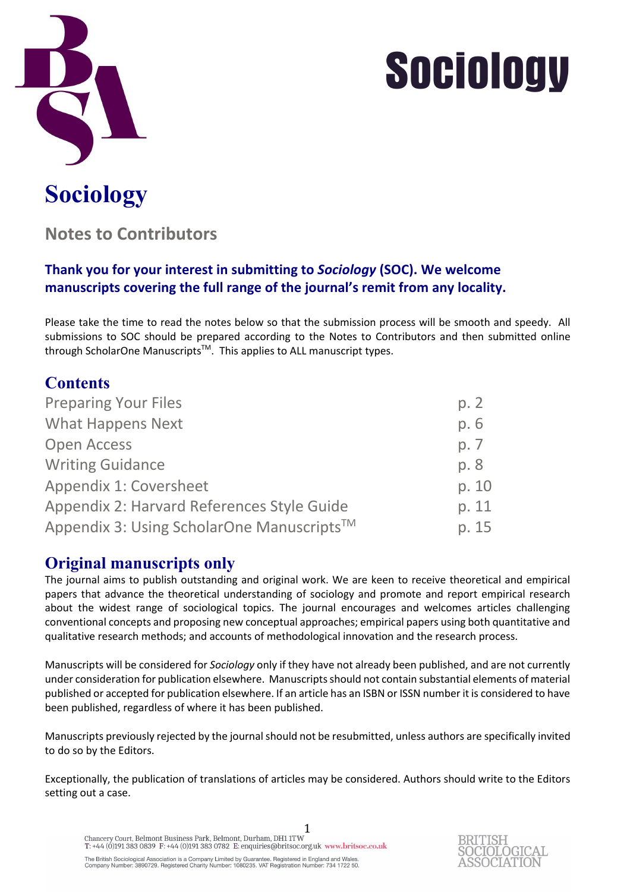

## **Sociology**

## **Notes to Contributors**

## **Thank you for your interest in submitting to** *Sociology* **(SOC). We welcome manuscripts covering the full range of the journal's remit from any locality.**

Please take the time to read the notes below so that the submission process will be smooth and speedy. All submissions to SOC should be prepared according to the Notes to Contributors and then submitted online through ScholarOne Manuscripts<sup>™</sup>. This applies to ALL manuscript types.

| <b>Contents</b>                                       |       |
|-------------------------------------------------------|-------|
| <b>Preparing Your Files</b>                           | p. 2  |
| <b>What Happens Next</b>                              | p. 6  |
| <b>Open Access</b>                                    | p. 7  |
| <b>Writing Guidance</b>                               | p. 8  |
| <b>Appendix 1: Coversheet</b>                         | p. 10 |
| Appendix 2: Harvard References Style Guide            | p. 11 |
| Appendix 3: Using ScholarOne Manuscripts <sup>™</sup> | p. 15 |

## **Original manuscripts only**

The journal aims to publish outstanding and original work. We are keen to receive theoretical and empirical papers that advance the theoretical understanding of sociology and promote and report empirical research about the widest range of sociological topics. The journal encourages and welcomes articles challenging conventional concepts and proposing new conceptual approaches; empirical papers using both quantitative and qualitative research methods; and accounts of methodological innovation and the research process.

Manuscripts will be considered for *Sociology* only if they have not already been published, and are not currently under consideration for publication elsewhere. Manuscripts should not contain substantial elements of material published or accepted for publication elsewhere. If an article has an ISBN or ISSN number it is considered to have been published, regardless of where it has been published.

Manuscripts previously rejected by the journal should not be resubmitted, unless authors are specifically invited to do so by the Editors.

Exceptionally, the publication of translations of articles may be considered. Authors should write to the Editors setting out a case.

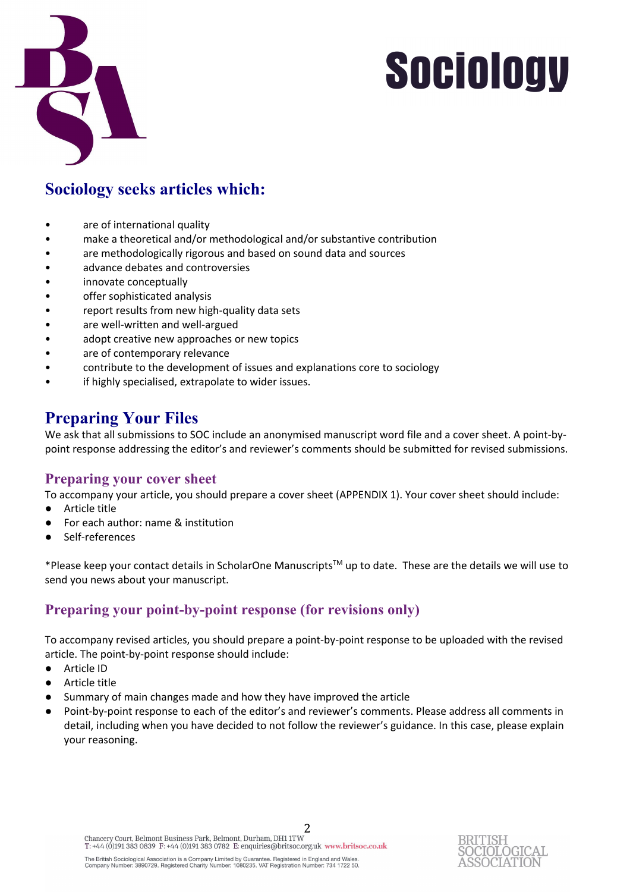

## **Sociology seeks articles which:**

- are of international quality
- make a theoretical and/or methodological and/or substantive contribution
- are methodologically rigorous and based on sound data and sources
- advance debates and controversies
- innovate conceptually
- offer sophisticated analysis
- report results from new high-quality data sets
- are well-written and well-argued
- adopt creative new approaches or new topics
- are of contemporary relevance
- contribute to the development of issues and explanations core to sociology
- if highly specialised, extrapolate to wider issues.

## **Preparing Your Files**

We ask that all submissions to SOC include an anonymised manuscript word file and a cover sheet. A point-bypoint response addressing the editor's and reviewer's comments should be submitted for revised submissions.

### **Preparing your cover sheet**

To accompany your article, you should prepare a cover sheet (APPENDIX 1). Your cover sheet should include:

- Article title
- For each author: name & institution
- Self-references

\*Please keep your contact details in ScholarOne ManuscriptsTM up to date. These are the details we will use to send you news about your manuscript.

## **Preparing your point-by-point response (for revisions only)**

To accompany revised articles, you should prepare a point-by-point response to be uploaded with the revised article. The point-by-point response should include:

- Article ID
- Article title
- Summary of main changes made and how they have improved the article
- Point-by-point response to each of the editor's and reviewer's comments. Please address all comments in detail, including when you have decided to not follow the reviewer's guidance. In this case, please explain your reasoning.

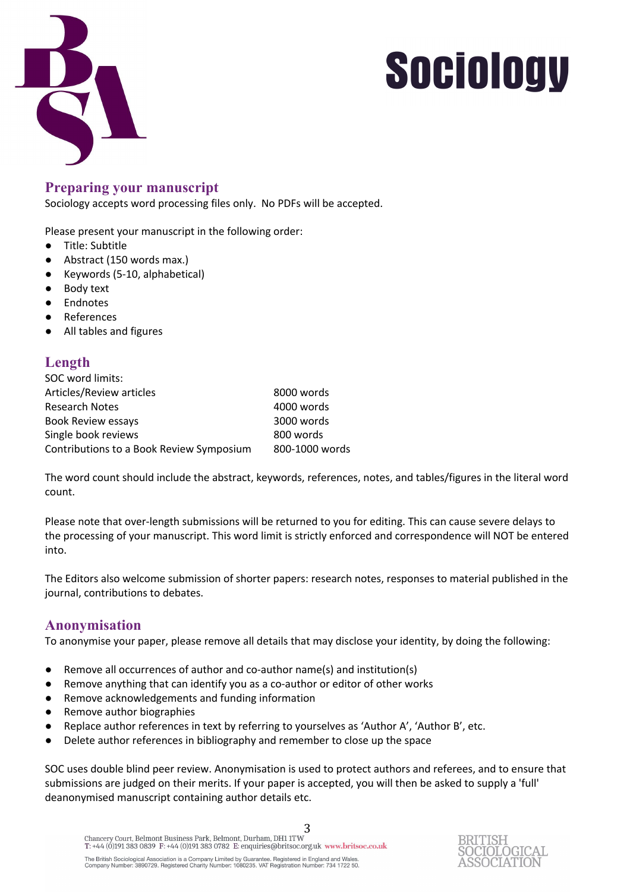

### **Preparing your manuscript**

Sociology accepts word processing files only. No PDFs will be accepted.

Please present your manuscript in the following order:

- Title: Subtitle
- Abstract (150 words max.)
- Keywords (5-10, alphabetical)
- Body text
- Endnotes
- References
- All tables and figures

### **Length**

| SOC word limits:                         |                |
|------------------------------------------|----------------|
| Articles/Review articles                 | 8000 words     |
| <b>Research Notes</b>                    | 4000 words     |
| <b>Book Review essays</b>                | 3000 words     |
| Single book reviews                      | 800 words      |
| Contributions to a Book Review Symposium | 800-1000 words |

The word count should include the abstract, keywords, references, notes, and tables/figures in the literal word count.

Please note that over-length submissions will be returned to you for editing. This can cause severe delays to the processing of your manuscript. This word limit is strictly enforced and correspondence will NOT be entered into.

The Editors also welcome submission of shorter papers: research notes, responses to material published in the journal, contributions to debates.

### **Anonymisation**

To anonymise your paper, please remove all details that may disclose your identity, by doing the following:

- Remove all occurrences of author and co-author name(s) and institution(s)
- Remove anything that can identify you as a co-author or editor of other works
- Remove acknowledgements and funding information
- Remove author biographies
- Replace author references in text by referring to yourselves as 'Author A', 'Author B', etc.
- Delete author references in bibliography and remember to close up the space

SOC uses double blind peer review. Anonymisation is used to protect authors and referees, and to ensure that submissions are judged on their merits. If your paper is accepted, you will then be asked to supply a 'full' deanonymised manuscript containing author details etc.

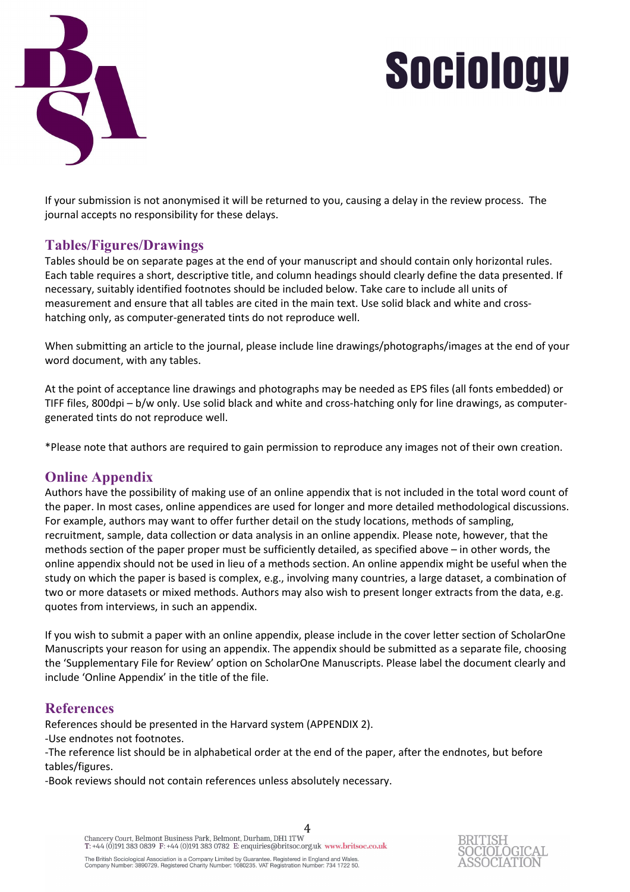



If your submission is not anonymised it will be returned to you, causing a delay in the review process. The journal accepts no responsibility for these delays.

### **Tables/Figures/Drawings**

Tables should be on separate pages at the end of your manuscript and should contain only horizontal rules. Each table requires a short, descriptive title, and column headings should clearly define the data presented. If necessary, suitably identified footnotes should be included below. Take care to include all units of measurement and ensure that all tables are cited in the main text. Use solid black and white and crosshatching only, as computer-generated tints do not reproduce well.

When submitting an article to the journal, please include line drawings/photographs/images at the end of your word document, with any tables.

At the point of acceptance line drawings and photographs may be needed as EPS files (all fonts embedded) or TIFF files, 800dpi – b/w only. Use solid black and white and cross-hatching only for line drawings, as computergenerated tints do not reproduce well.

\*Please note that authors are required to gain permission to reproduce any images not of their own creation.

## **Online Appendix**

Authors have the possibility of making use of an online appendix that is not included in the total word count of the paper. In most cases, online appendices are used for longer and more detailed methodological discussions. For example, authors may want to offer further detail on the study locations, methods of sampling, recruitment, sample, data collection or data analysis in an online appendix. Please note, however, that the methods section of the paper proper must be sufficiently detailed, as specified above – in other words, the online appendix should not be used in lieu of a methods section. An online appendix might be useful when the study on which the paper is based is complex, e.g., involving many countries, a large dataset, a combination of two or more datasets or mixed methods. Authors may also wish to present longer extracts from the data, e.g. quotes from interviews, in such an appendix.

If you wish to submit a paper with an online appendix, please include in the cover letter section of ScholarOne Manuscripts your reason for using an appendix. The appendix should be submitted as a separate file, choosing the 'Supplementary File for Review' option on ScholarOne Manuscripts. Please label the document clearly and include 'Online Appendix' in the title of the file.

### **References**

References should be presented in the Harvard system (APPENDIX 2).

-Use endnotes not footnotes.

-The reference list should be in alphabetical order at the end of the paper, after the endnotes, but before tables/figures.

-Book reviews should not contain references unless absolutely necessary.

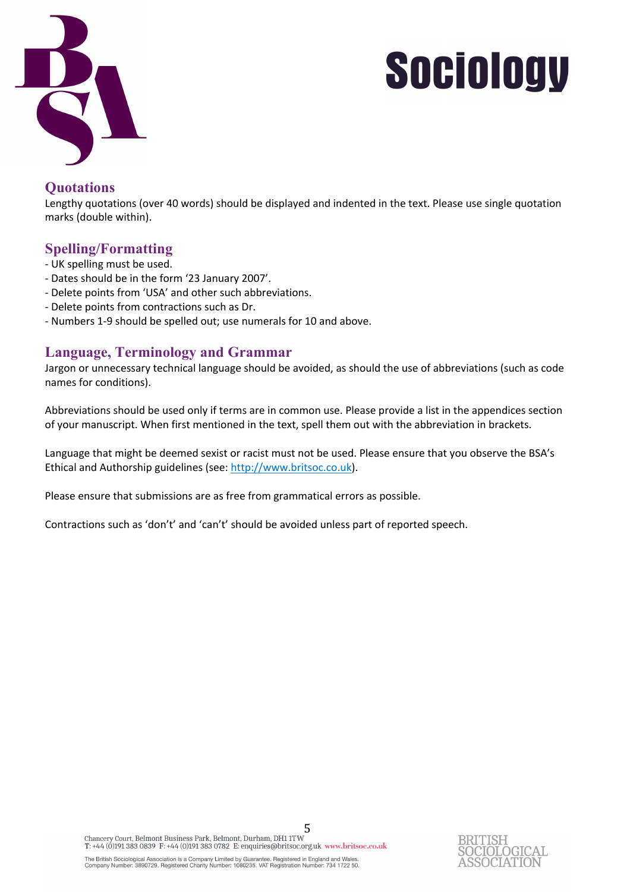

### **Quotations**

Lengthy quotations (over 40 words) should be displayed and indented in the text. Please use single quotation marks (double within).

## **Spelling/Formatting**

- UK spelling must be used.
- Dates should be in the form '23 January 2007'.
- Delete points from 'USA' and other such abbreviations.
- Delete points from contractions such as Dr.
- Numbers 1-9 should be spelled out; use numerals for 10 and above.

### **Language, Terminology and Grammar**

Jargon or unnecessary technical language should be avoided, as should the use of abbreviations (such as code names for conditions).

Abbreviations should be used only if terms are in common use. Please provide a list in the appendices section of your manuscript. When first mentioned in the text, spell them out with the abbreviation in brackets.

Language that might be deemed sexist or racist must not be used. Please ensure that you observe the BSA's Ethical and Authorship guidelines (see: http://www.britsoc.co.uk).

Please ensure that submissions are as free from grammatical errors as possible.

Contractions such as 'don't' and 'can't' should be avoided unless part of reported speech.

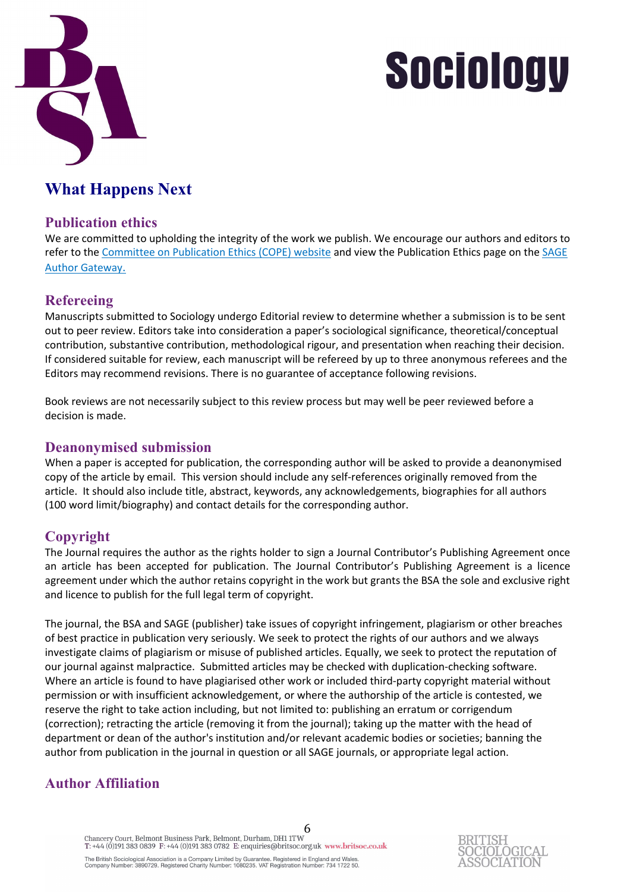

## **What Happens Next**

### **Publication ethics**

We are committed to upholding the integrity of the work we publish. We encourage our authors and editors to refer to the Committee on Publication Ethics (COPE) website and view the Publication Ethics page on the SAGE Author Gateway.

## **Refereeing**

Manuscripts submitted to Sociology undergo Editorial review to determine whether a submission is to be sent out to peer review. Editors take into consideration a paper's sociological significance, theoretical/conceptual contribution, substantive contribution, methodological rigour, and presentation when reaching their decision. If considered suitable for review, each manuscript will be refereed by up to three anonymous referees and the Editors may recommend revisions. There is no guarantee of acceptance following revisions.

Book reviews are not necessarily subject to this review process but may well be peer reviewed before a decision is made.

### **Deanonymised submission**

When a paper is accepted for publication, the corresponding author will be asked to provide a deanonymised copy of the article by email. This version should include any self-references originally removed from the article. It should also include title, abstract, keywords, any acknowledgements, biographies for all authors (100 word limit/biography) and contact details for the corresponding author.

## **Copyright**

The Journal requires the author as the rights holder to sign a Journal Contributor's Publishing Agreement once an article has been accepted for publication. The Journal Contributor's Publishing Agreement is a licence agreement under which the author retains copyright in the work but grants the BSA the sole and exclusive right and licence to publish for the full legal term of copyright.

The journal, the BSA and SAGE (publisher) take issues of copyright infringement, plagiarism or other breaches of best practice in publication very seriously. We seek to protect the rights of our authors and we always investigate claims of plagiarism or misuse of published articles. Equally, we seek to protect the reputation of our journal against malpractice. Submitted articles may be checked with duplication-checking software. Where an article is found to have plagiarised other work or included third-party copyright material without permission or with insufficient acknowledgement, or where the authorship of the article is contested, we reserve the right to take action including, but not limited to: publishing an erratum or corrigendum (correction); retracting the article (removing it from the journal); taking up the matter with the head of department or dean of the author's institution and/or relevant academic bodies or societies; banning the author from publication in the journal in question or all SAGE journals, or appropriate legal action.

## **Author Affiliation**

6<br>Chancery Court, Belmont Business Park, Belmont, Durham, DH1 1TW T: +44 (0)191 383 0839 F: +44 (0)191 383 0782 E: enquiries@britsoc.org.uk www.britsoc.co.uk The British Sociological Association is a Company Limited by Guarantee. Registered in England and Wales.<br>Company Number: 3890729. Registered Charity Number: 1080235. VAT Registration Number: 734 1722 50.

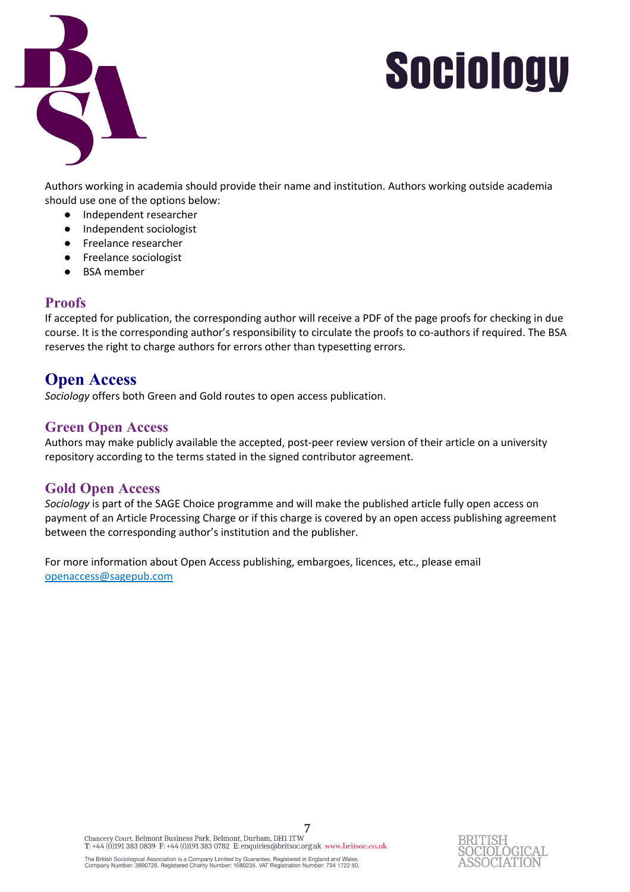

Authors working in academia should provide their name and institution. Authors working outside academia should use one of the options below:

- Independent researcher
- Independent sociologist
- Freelance researcher
- Freelance sociologist
- **BSA** member

### **Proofs**

If accepted for publication, the corresponding author will receive a PDF of the page proofs for checking in due course. It is the corresponding author's responsibility to circulate the proofs to co-authors if required. The BSA reserves the right to charge authors for errors other than typesetting errors.

## **Open Access**

*Sociology* offers both Green and Gold routes to open access publication.

## **Green Open Access**

Authors may make publicly available the accepted, post-peer review version of their article on a university repository according to the terms stated in the signed contributor agreement.

### **Gold Open Access**

*Sociology* is part of the SAGE Choice programme and will make the published article fully open access on payment of an Article Processing Charge or if this charge is covered by an open access publishing agreement between the corresponding author's institution and the publisher.

For more information about Open Access publishing, embargoes, licences, etc., please email openaccess@sagepub.com

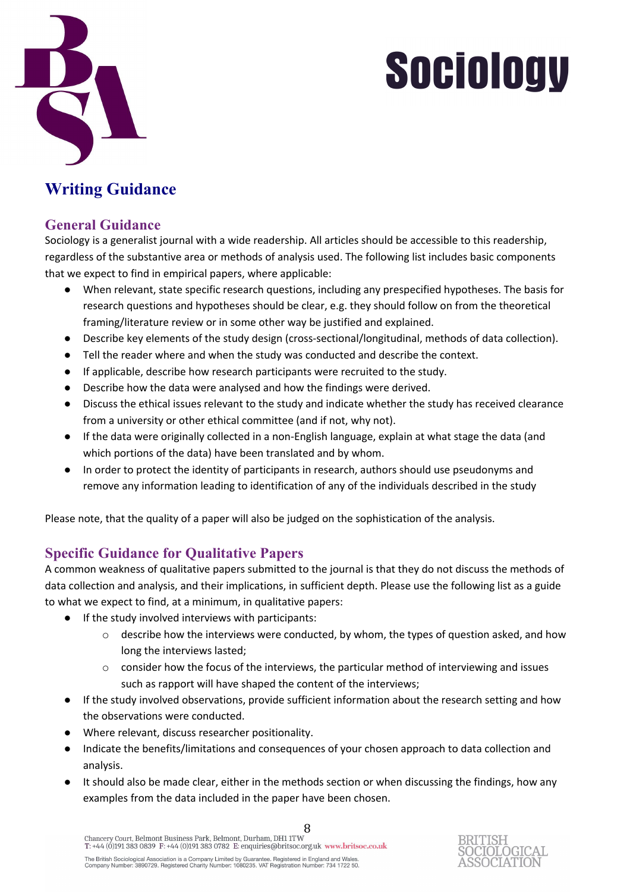

## **Writing Guidance**

### **General Guidance**

Sociology is a generalist journal with a wide readership. All articles should be accessible to this readership, regardless of the substantive area or methods of analysis used. The following list includes basic components that we expect to find in empirical papers, where applicable:

- When relevant, state specific research questions, including any prespecified hypotheses. The basis for research questions and hypotheses should be clear, e.g. they should follow on from the theoretical framing/literature review or in some other way be justified and explained.
- Describe key elements of the study design (cross-sectional/longitudinal, methods of data collection).
- Tell the reader where and when the study was conducted and describe the context.
- If applicable, describe how research participants were recruited to the study.
- Describe how the data were analysed and how the findings were derived.
- Discuss the ethical issues relevant to the study and indicate whether the study has received clearance from a university or other ethical committee (and if not, why not).
- If the data were originally collected in a non-English language, explain at what stage the data (and which portions of the data) have been translated and by whom.
- In order to protect the identity of participants in research, authors should use pseudonyms and remove any information leading to identification of any of the individuals described in the study

Please note, that the quality of a paper will also be judged on the sophistication of the analysis.

## **Specific Guidance for Qualitative Papers**

A common weakness of qualitative papers submitted to the journal is that they do not discuss the methods of data collection and analysis, and their implications, in sufficient depth. Please use the following list as a guide to what we expect to find, at a minimum, in qualitative papers:

- If the study involved interviews with participants:
	- $\circ$  describe how the interviews were conducted, by whom, the types of question asked, and how long the interviews lasted;
	- o consider how the focus of the interviews, the particular method of interviewing and issues such as rapport will have shaped the content of the interviews;
- If the study involved observations, provide sufficient information about the research setting and how the observations were conducted.
- Where relevant, discuss researcher positionality.
- Indicate the benefits/limitations and consequences of your chosen approach to data collection and analysis.
- It should also be made clear, either in the methods section or when discussing the findings, how any examples from the data included in the paper have been chosen.

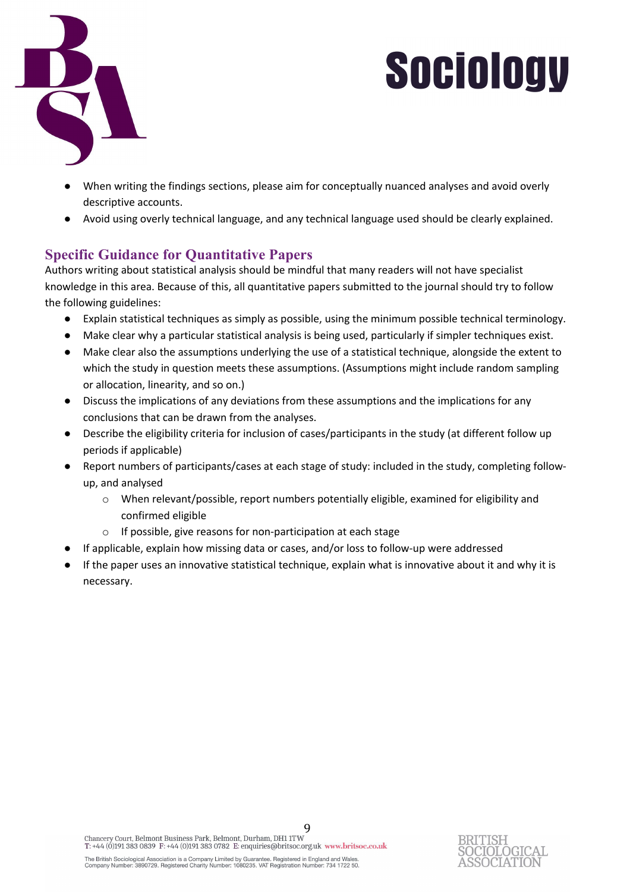

- When writing the findings sections, please aim for conceptually nuanced analyses and avoid overly descriptive accounts.
- Avoid using overly technical language, and any technical language used should be clearly explained.

## **Specific Guidance for Quantitative Papers**

Authors writing about statistical analysis should be mindful that many readers will not have specialist knowledge in this area. Because of this, all quantitative papers submitted to the journal should try to follow the following guidelines:

- Explain statistical techniques as simply as possible, using the minimum possible technical terminology.
- Make clear why a particular statistical analysis is being used, particularly if simpler techniques exist.
- Make clear also the assumptions underlying the use of a statistical technique, alongside the extent to which the study in question meets these assumptions. (Assumptions might include random sampling or allocation, linearity, and so on.)
- Discuss the implications of any deviations from these assumptions and the implications for any conclusions that can be drawn from the analyses.
- Describe the eligibility criteria for inclusion of cases/participants in the study (at different follow up periods if applicable)
- Report numbers of participants/cases at each stage of study: included in the study, completing followup, and analysed
	- o When relevant/possible, report numbers potentially eligible, examined for eligibility and confirmed eligible
	- o If possible, give reasons for non-participation at each stage
- If applicable, explain how missing data or cases, and/or loss to follow-up were addressed
- If the paper uses an innovative statistical technique, explain what is innovative about it and why it is necessary.

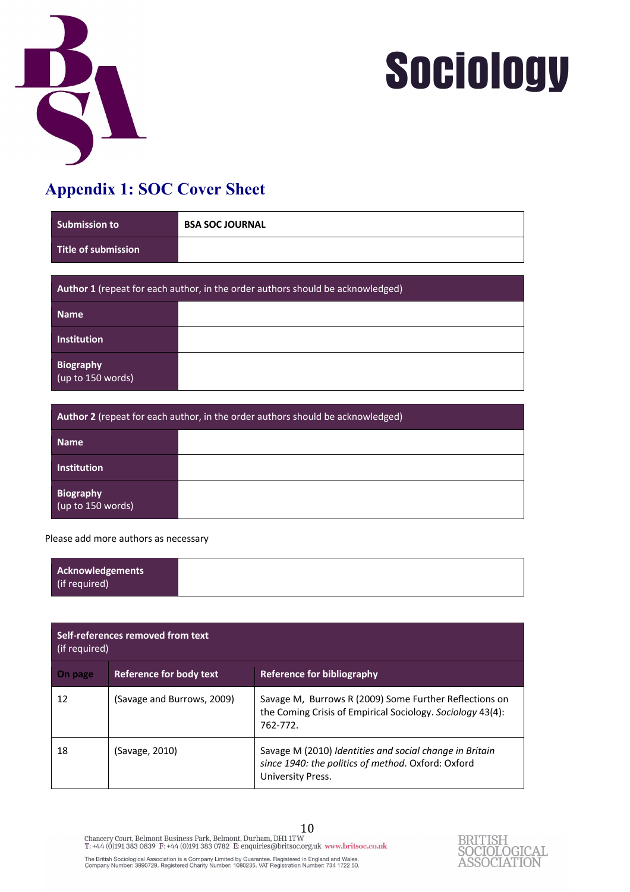



## **Appendix 1: SOC Cover Sheet**

| <b>Submission to</b>                                                           | <b>BSA SOC JOURNAL</b> |  |  |
|--------------------------------------------------------------------------------|------------------------|--|--|
| Title of submission                                                            |                        |  |  |
|                                                                                |                        |  |  |
| Author 1 (repeat for each author, in the order authors should be acknowledged) |                        |  |  |
| <b>Name</b>                                                                    |                        |  |  |
| Institution                                                                    |                        |  |  |
| Biography<br>$\sqrt{(up to 150 words)}$                                        |                        |  |  |
|                                                                                |                        |  |  |

| Author 2 (repeat for each author, in the order authors should be acknowledged) |  |  |  |
|--------------------------------------------------------------------------------|--|--|--|
| <b>Name</b>                                                                    |  |  |  |
| Institution                                                                    |  |  |  |
| Biography<br>(up to 150 words)                                                 |  |  |  |

Please add more authors as necessary

| Self-references removed from text<br>(if required) |                            |                                                                                                                                    |  |
|----------------------------------------------------|----------------------------|------------------------------------------------------------------------------------------------------------------------------------|--|
| On page                                            | Reference for body text    | Reference for bibliography                                                                                                         |  |
| 12                                                 | (Savage and Burrows, 2009) | Savage M, Burrows R (2009) Some Further Reflections on<br>the Coming Crisis of Empirical Sociology. Sociology 43(4):<br>762-772.   |  |
| 18                                                 | (Savage, 2010)             | Savage M (2010) Identities and social change in Britain<br>since 1940: the politics of method. Oxford: Oxford<br>University Press. |  |

10 The British Sociological Association is a Company Limited by Guarantee. Registered in England and Wales.<br>Company Number: 3890729. Registered Charity Number: 1080235. VAT Registration Number: 734 1722 50.

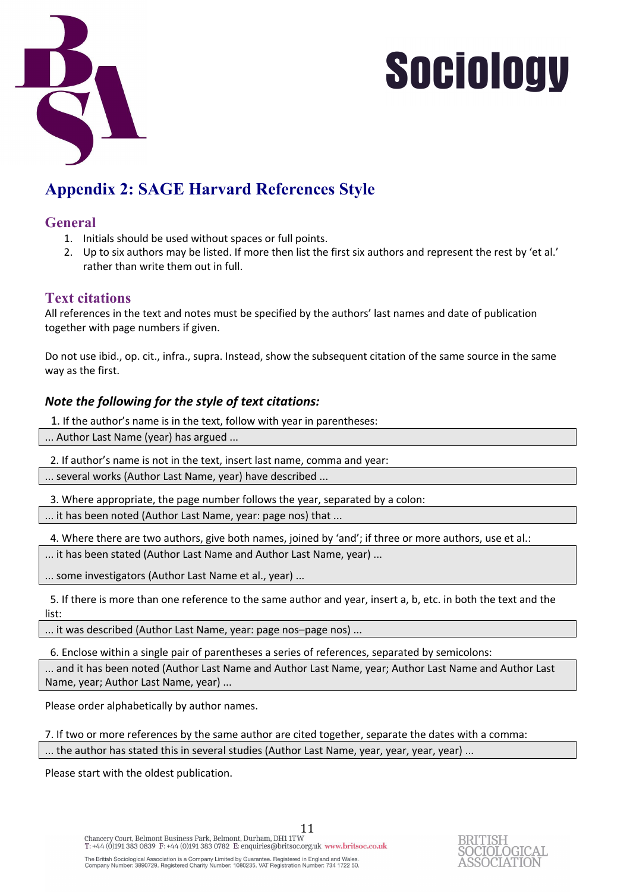

## **Appendix 2: SAGE Harvard References Style**

### **General**

- 1. Initials should be used without spaces or full points.
- 2. Up to six authors may be listed. If more then list the first six authors and represent the rest by 'et al.' rather than write them out in full.

### **Text citations**

All references in the text and notes must be specified by the authors' last names and date of publication together with page numbers if given.

Do not use ibid., op. cit., infra., supra. Instead, show the subsequent citation of the same source in the same way as the first.

#### *Note the following for the style of text citations:*

1. If the author's name is in the text, follow with year in parentheses:

... Author Last Name (year) has argued ...

2. If author's name is not in the text, insert last name, comma and year:

... several works (Author Last Name, year) have described ...

3. Where appropriate, the page number follows the year, separated by a colon:

... it has been noted (Author Last Name, year: page nos) that ...

4. Where there are two authors, give both names, joined by 'and'; if three or more authors, use et al.:

... it has been stated (Author Last Name and Author Last Name, year) ...

... some investigators (Author Last Name et al., year) ...

 5. If there is more than one reference to the same author and year, insert a, b, etc. in both the text and the list:

... it was described (Author Last Name, year: page nos–page nos) ...

6. Enclose within a single pair of parentheses a series of references, separated by semicolons:

... and it has been noted (Author Last Name and Author Last Name, year; Author Last Name and Author Last Name, year; Author Last Name, year) ...

Please order alphabetically by author names.

7. If two or more references by the same author are cited together, separate the dates with a comma:

... the author has stated this in several studies (Author Last Name, year, year, year, year) ...

Please start with the oldest publication.

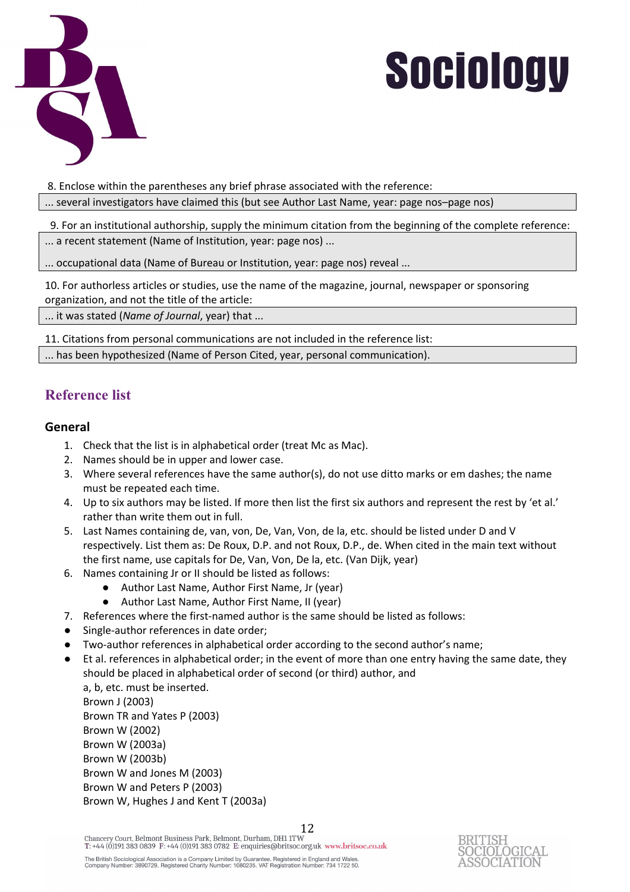

8. Enclose within the parentheses any brief phrase associated with the reference:

... several investigators have claimed this (but see Author Last Name, year: page nos–page nos)

 9. For an institutional authorship, supply the minimum citation from the beginning of the complete reference: ... a recent statement (Name of Institution, year: page nos) ...

... occupational data (Name of Bureau or Institution, year: page nos) reveal ...

10. For authorless articles or studies, use the name of the magazine, journal, newspaper or sponsoring organization, and not the title of the article:

... it was stated (*Name of Journal*, year) that ...

11. Citations from personal communications are not included in the reference list:

... has been hypothesized (Name of Person Cited, year, personal communication).

## **Reference list**

#### **General**

- 1. Check that the list is in alphabetical order (treat Mc as Mac).
- 2. Names should be in upper and lower case.
- 3. Where several references have the same author(s), do not use ditto marks or em dashes; the name must be repeated each time.
- 4. Up to six authors may be listed. If more then list the first six authors and represent the rest by 'et al.' rather than write them out in full.
- 5. Last Names containing de, van, von, De, Van, Von, de la, etc. should be listed under D and V respectively. List them as: De Roux, D.P. and not Roux, D.P., de. When cited in the main text without the first name, use capitals for De, Van, Von, De la, etc. (Van Dijk, year)
- 6. Names containing Jr or II should be listed as follows:
	- Author Last Name, Author First Name, Jr (year)
	- Author Last Name, Author First Name, II (year)
- 7. References where the first-named author is the same should be listed as follows:
- Single-author references in date order;
- Two-author references in alphabetical order according to the second author's name;
- Et al. references in alphabetical order; in the event of more than one entry having the same date, they should be placed in alphabetical order of second (or third) author, and

a, b, etc. must be inserted. Brown J (2003) Brown TR and Yates P (2003) Brown W (2002) Brown W (2003a) Brown W (2003b) Brown W and Jones M (2003) Brown W and Peters P (2003) Brown W, Hughes J and Kent T (2003a)

Chancery Court, Belmont Business Park, Belmont, Durham, DH1 1TW  $\,$ T: +44 (0)191 383 0839 F: +44 (0)191 383 0782 E: enquiries@britsoc.org.uk www.britsoc.co.uk The British Sociological Association is a Company Limited by Guarantee. Registered in England and Wales.<br>Company Number: 3890729. Registered Charity Number: 1080235. VAT Registration Number: 734 1722 50.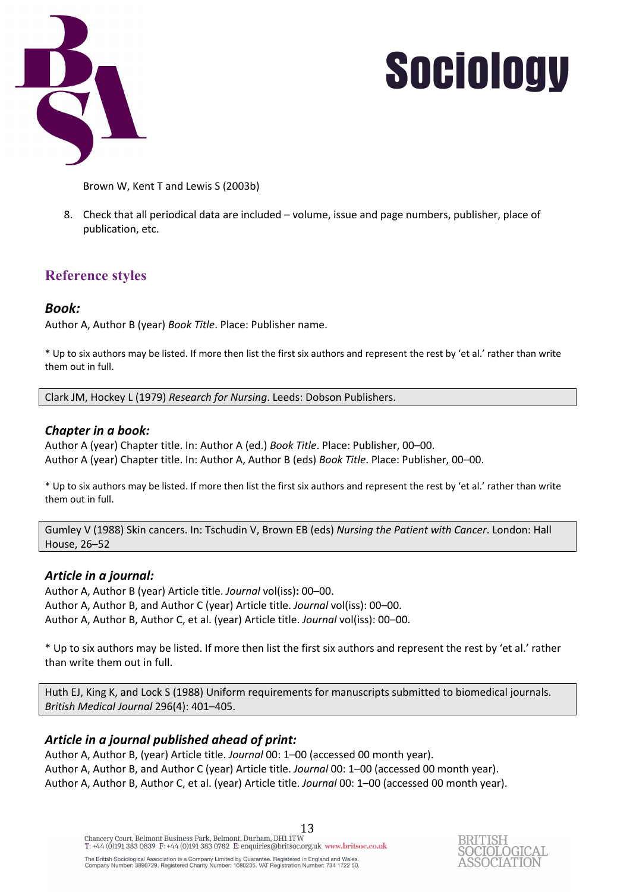

Brown W, Kent T and Lewis S (2003b)

8. Check that all periodical data are included – volume, issue and page numbers, publisher, place of publication, etc.

## **Reference styles**

### *Book:*

Author A, Author B (year) *Book Title*. Place: Publisher name.

\* Up to six authors may be listed. If more then list the first six authors and represent the rest by 'et al.' rather than write them out in full.

Clark JM, Hockey L (1979) *Research for Nursing*. Leeds: Dobson Publishers.

### *Chapter in a book:*

Author A (year) Chapter title. In: Author A (ed.) *Book Title*. Place: Publisher, 00–00. Author A (year) Chapter title. In: Author A, Author B (eds) *Book Title*. Place: Publisher, 00–00.

\* Up to six authors may be listed. If more then list the first six authors and represent the rest by 'et al.' rather than write them out in full.

Gumley V (1988) Skin cancers. In: Tschudin V, Brown EB (eds) *Nursing the Patient with Cancer*. London: Hall House, 26–52

#### *Article in a journal:*

Author A, Author B (year) Article title. *Journal* vol(iss)**:** 00–00. Author A, Author B, and Author C (year) Article title. *Journal* vol(iss): 00–00. Author A, Author B, Author C, et al. (year) Article title. *Journal* vol(iss): 00–00.

\* Up to six authors may be listed. If more then list the first six authors and represent the rest by 'et al.' rather than write them out in full.

Huth EJ, King K, and Lock S (1988) Uniform requirements for manuscripts submitted to biomedical journals. *British Medical Journal* 296(4): 401–405.

### *Article in a journal published ahead of print:*

Author A, Author B, (year) Article title. *Journal* 00: 1–00 (accessed 00 month year). Author A, Author B, and Author C (year) Article title. *Journal* 00: 1–00 (accessed 00 month year). Author A, Author B, Author C, et al. (year) Article title. *Journal* 00: 1–00 (accessed 00 month year).

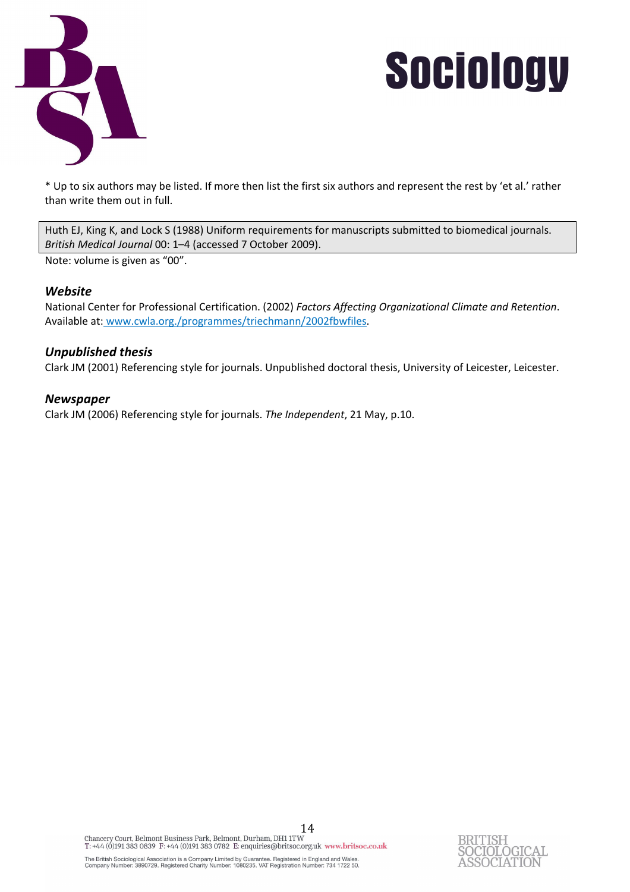

\* Up to six authors may be listed. If more then list the first six authors and represent the rest by 'et al.' rather than write them out in full.

Huth EJ, King K, and Lock S (1988) Uniform requirements for manuscripts submitted to biomedical journals. *British Medical Journal* 00: 1–4 (accessed 7 October 2009).

Note: volume is given as "00".

#### *Website*

National Center for Professional Certification. (2002) *Factors Affecting Organizational Climate and Retention*. Available at: www.cwla.org./programmes/triechmann/2002fbwfiles.

#### *Unpublished thesis*

Clark JM (2001) Referencing style for journals. Unpublished doctoral thesis, University of Leicester, Leicester.

#### *Newspaper*

Clark JM (2006) Referencing style for journals. *The Independent*, 21 May, p.10.

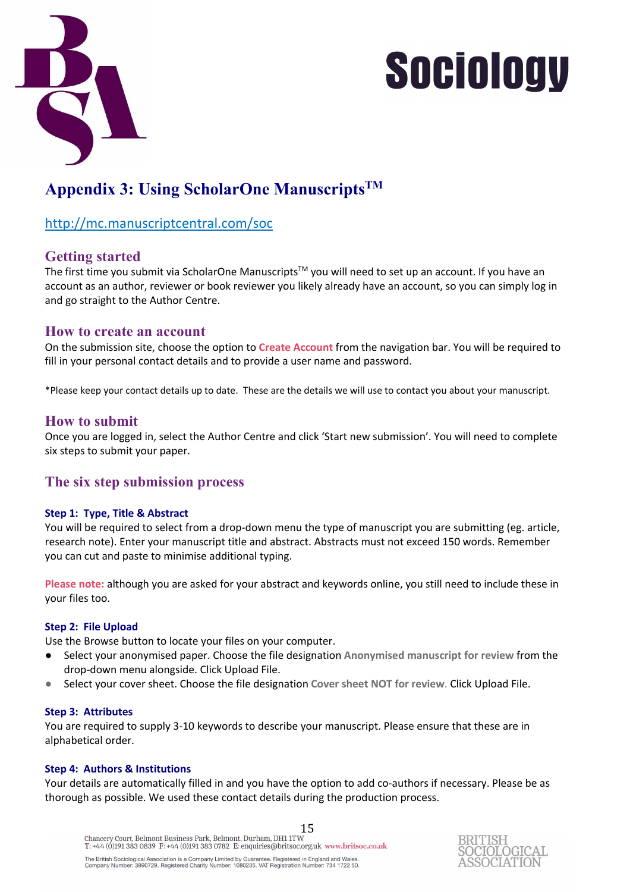

## **Appendix 3: Using ScholarOne ManuscriptsTM**

### http://mc.manuscriptcentral.com/soc

### **Getting started**

The first time you submit via ScholarOne Manuscripts<sup>™</sup> you will need to set up an account. If you have an account as an author, reviewer or book reviewer you likely already have an account, so you can simply log in and go straight to the Author Centre.

#### **How to create an account**

On the submission site, choose the option to **Create Account** from the navigation bar. You will be required to fill in your personal contact details and to provide a user name and password.

\*Please keep your contact details up to date. These are the details we will use to contact you about your manuscript.

### **How to submit**

Once you are logged in, select the Author Centre and click 'Start new submission'. You will need to complete six steps to submit your paper.

### **The six step submission process**

#### **Step 1: Type, Title & Abstract**

You will be required to select from a drop-down menu the type of manuscript you are submitting (eg. article, research note). Enter your manuscript title and abstract. Abstracts must not exceed 150 words. Remember you can cut and paste to minimise additional typing.

**Please note:** although you are asked for your abstract and keywords online, you still need to include these in your files too.

#### **Step 2: File Upload**

Use the Browse button to locate your files on your computer.

- Select your anonymised paper. Choose the file designation **Anonymised manuscript for review** from the drop-down menu alongside. Click Upload File.
- Select your cover sheet. Choose the file designation Cover sheet NOT for review. Click Upload File.

#### **Step 3: Attributes**

You are required to supply 3-10 keywords to describe your manuscript. Please ensure that these are in alphabetical order.

#### **Step 4: Authors & Institutions**

Your details are automatically filled in and you have the option to add co-authors if necessary. Please be as thorough as possible. We used these contact details during the production process.

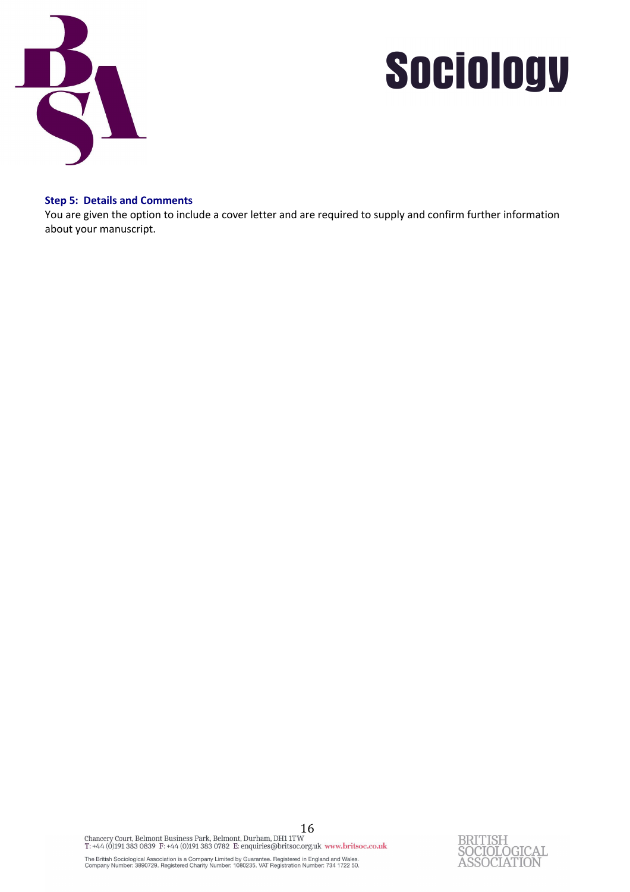

#### **Step 5: Details and Comments**

You are given the option to include a cover letter and are required to supply and confirm further information about your manuscript.